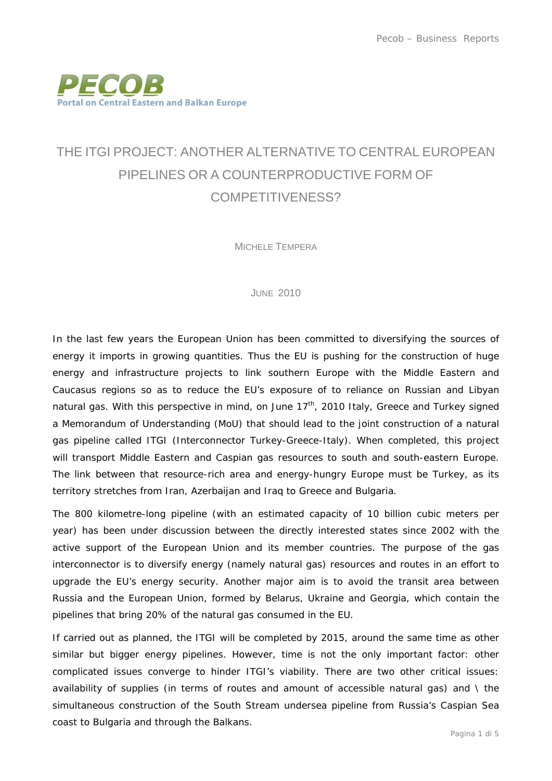

## THE ITGI PROJECT: ANOTHER ALTERNATIVE TO CENTRAL EUROPEAN PIPELINES OR A COUNTERPRODUCTIVE FORM OF COMPETITIVENESS?

MICHELE TEMPERA

JUNE 2010

In the last few years the European Union has been committed to diversifying the sources of energy it imports in growing quantities. Thus the EU is pushing for the construction of huge energy and infrastructure projects to link southern Europe with the Middle Eastern and Caucasus regions so as to reduce the EU's exposure of to reliance on Russian and Libyan natural gas. With this perspective in mind, on June  $17<sup>th</sup>$ , 2010 Italy, Greece and Turkey signed a Memorandum of Understanding (MoU) that should lead to the joint construction of a natural gas pipeline called ITGI (Interconnector Turkey-Greece-Italy). When completed, this project will transport Middle Eastern and Caspian gas resources to south and south-eastern Europe. The link between that resource-rich area and energy-hungry Europe must be Turkey, as its territory stretches from Iran, Azerbaijan and Iraq to Greece and Bulgaria.

The 800 kilometre-long pipeline (with an estimated capacity of 10 billion cubic meters per year) has been under discussion between the directly interested states since 2002 with the active support of the European Union and its member countries. The purpose of the gas interconnector is to diversify energy (namely natural gas) resources and routes in an effort to upgrade the EU's energy security. Another major aim is to avoid the transit area between Russia and the European Union, formed by Belarus, Ukraine and Georgia, which contain the pipelines that bring 20% of the natural gas consumed in the EU.

If carried out as planned, the ITGI will be completed by 2015, around the same time as other similar but bigger energy pipelines. However, time is not the only important factor: other complicated issues converge to hinder ITGI's viability. There are two other critical issues: availability of supplies (in terms of routes and amount of accessible natural gas) and  $\setminus$  the simultaneous construction of the South Stream undersea pipeline from Russia's Caspian Sea coast to Bulgaria and through the Balkans.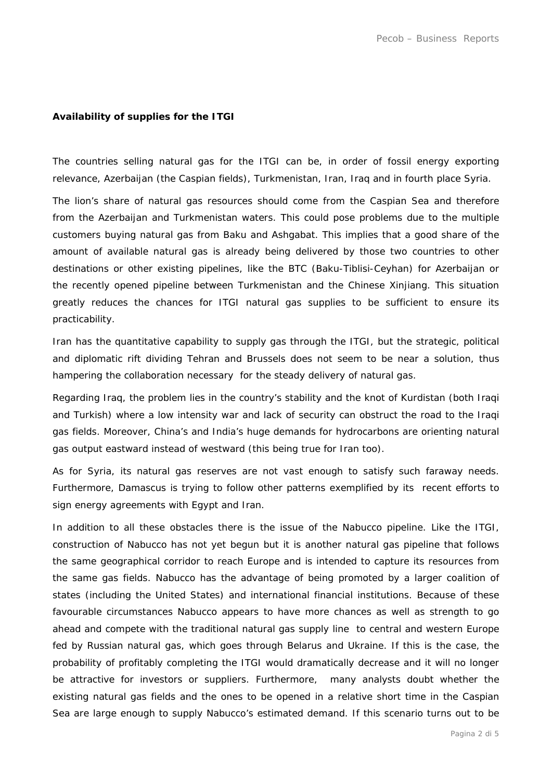## **Availability of supplies for the ITGI**

The countries selling natural gas for the ITGI can be, in order of fossil energy exporting relevance, Azerbaijan (the Caspian fields), Turkmenistan, Iran, Iraq and in fourth place Syria.

The lion's share of natural gas resources should come from the Caspian Sea and therefore from the Azerbaijan and Turkmenistan waters. This could pose problems due to the multiple customers buying natural gas from Baku and Ashgabat. This implies that a good share of the amount of available natural gas is already being delivered by those two countries to other destinations or other existing pipelines, like the BTC (Baku-Tiblisi-Ceyhan) for Azerbaijan or the recently opened pipeline between Turkmenistan and the Chinese Xinjiang. This situation greatly reduces the chances for ITGI natural gas supplies to be sufficient to ensure its practicability.

Iran has the quantitative capability to supply gas through the ITGI, but the strategic, political and diplomatic rift dividing Tehran and Brussels does not seem to be near a solution, thus hampering the collaboration necessary for the steady delivery of natural gas.

Regarding Iraq, the problem lies in the country's stability and the knot of Kurdistan (both Iraqi and Turkish) where a low intensity war and lack of security can obstruct the road to the Iraqi gas fields. Moreover, China's and India's huge demands for hydrocarbons are orienting natural gas output eastward instead of westward (this being true for Iran too).

As for Syria, its natural gas reserves are not vast enough to satisfy such faraway needs. Furthermore, Damascus is trying to follow other patterns exemplified by its recent efforts to sign energy agreements with Egypt and Iran.

In addition to all these obstacles there is the issue of the Nabucco pipeline. Like the ITGI, construction of Nabucco has not yet begun but it is another natural gas pipeline that follows the same geographical corridor to reach Europe and is intended to capture its resources from the same gas fields. Nabucco has the advantage of being promoted by a larger coalition of states (including the United States) and international financial institutions. Because of these favourable circumstances Nabucco appears to have more chances as well as strength to go ahead and compete with the traditional natural gas supply line to central and western Europe fed by Russian natural gas, which goes through Belarus and Ukraine. If this is the case, the probability of profitably completing the ITGI would dramatically decrease and it will no longer be attractive for investors or suppliers. Furthermore, many analysts doubt whether the existing natural gas fields and the ones to be opened in a relative short time in the Caspian Sea are large enough to supply Nabucco's estimated demand. If this scenario turns out to be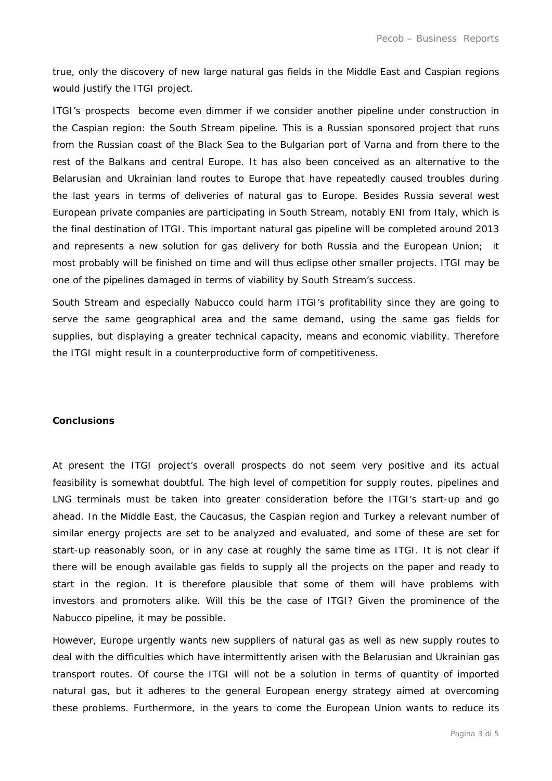true, only the discovery of new large natural gas fields in the Middle East and Caspian regions would justify the ITGI project.

ITGI's prospects become even dimmer if we consider another pipeline under construction in the Caspian region: the South Stream pipeline. This is a Russian sponsored project that runs from the Russian coast of the Black Sea to the Bulgarian port of Varna and from there to the rest of the Balkans and central Europe. It has also been conceived as an alternative to the Belarusian and Ukrainian land routes to Europe that have repeatedly caused troubles during the last years in terms of deliveries of natural gas to Europe. Besides Russia several west European private companies are participating in South Stream, notably ENI from Italy, which is the final destination of ITGI. This important natural gas pipeline will be completed around 2013 and represents a new solution for gas delivery for both Russia and the European Union; it most probably will be finished on time and will thus eclipse other smaller projects. ITGI may be one of the pipelines damaged in terms of viability by South Stream's success.

South Stream and especially Nabucco could harm ITGI's profitability since they are going to serve the same geographical area and the same demand, using the same gas fields for supplies, but displaying a greater technical capacity, means and economic viability. Therefore the ITGI might result in a counterproductive form of competitiveness.

## **Conclusions**

At present the ITGI project's overall prospects do not seem very positive and its actual feasibility is somewhat doubtful. The high level of competition for supply routes, pipelines and LNG terminals must be taken into greater consideration before the ITGI's start-up and go ahead. In the Middle East, the Caucasus, the Caspian region and Turkey a relevant number of similar energy projects are set to be analyzed and evaluated, and some of these are set for start-up reasonably soon, or in any case at roughly the same time as ITGI. It is not clear if there will be enough available gas fields to supply all the projects on the paper and ready to start in the region. It is therefore plausible that some of them will have problems with investors and promoters alike. Will this be the case of ITGI? Given the prominence of the Nabucco pipeline, it may be possible.

However, Europe urgently wants new suppliers of natural gas as well as new supply routes to deal with the difficulties which have intermittently arisen with the Belarusian and Ukrainian gas transport routes. Of course the ITGI will not be a solution in terms of quantity of imported natural gas, but it adheres to the general European energy strategy aimed at overcoming these problems. Furthermore, in the years to come the European Union wants to reduce its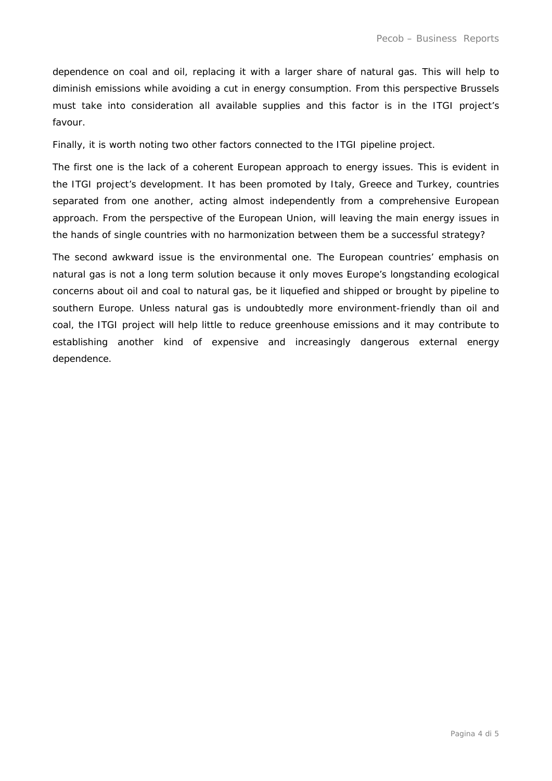dependence on coal and oil, replacing it with a larger share of natural gas. This will help to diminish emissions while avoiding a cut in energy consumption. From this perspective Brussels must take into consideration all available supplies and this factor is in the ITGI project's favour.

Finally, it is worth noting two other factors connected to the ITGI pipeline project.

The first one is the lack of a coherent European approach to energy issues. This is evident in the ITGI project's development. It has been promoted by Italy, Greece and Turkey, countries separated from one another, acting almost independently from a comprehensive European approach. From the perspective of the European Union, will leaving the main energy issues in the hands of single countries with no harmonization between them be a successful strategy?

The second awkward issue is the environmental one. The European countries' emphasis on natural gas is not a long term solution because it only moves Europe's longstanding ecological concerns about oil and coal to natural gas, be it liquefied and shipped or brought by pipeline to southern Europe. Unless natural gas is undoubtedly more environment-friendly than oil and coal, the ITGI project will help little to reduce greenhouse emissions and it may contribute to establishing another kind of expensive and increasingly dangerous external energy dependence.